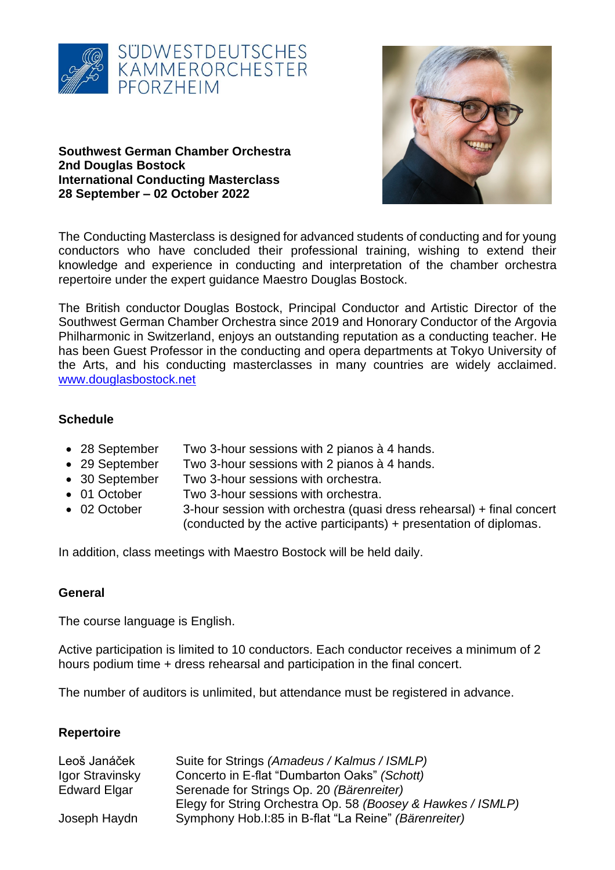

#### **Southwest German Chamber Orchestra 2nd Douglas Bostock International Conducting Masterclass 28 September – 02 October 2022**



The Conducting Masterclass is designed for advanced students of conducting and for young conductors who have concluded their professional training, wishing to extend their knowledge and experience in conducting and interpretation of the chamber orchestra repertoire under the expert guidance Maestro Douglas Bostock.

The British conductor Douglas Bostock, Principal Conductor and Artistic Director of the Southwest German Chamber Orchestra since 2019 and Honorary Conductor of the Argovia Philharmonic in Switzerland, enjoys an outstanding reputation as a conducting teacher. He has been Guest Professor in the conducting and opera departments at Tokyo University of the Arts, and his conducting masterclasses in many countries are widely acclaimed. [www.douglasbostock.net](http://www.douglasbostock.net/)

### **Schedule**

- 28 September Two 3-hour sessions with 2 pianos à 4 hands.
- 29 September Two 3-hour sessions with 2 pianos à 4 hands.
- 30 September Two 3-hour sessions with orchestra.
- 01 October Two 3-hour sessions with orchestra.
- 02 October 3-hour session with orchestra (quasi dress rehearsal) + final concert (conducted by the active participants) + presentation of diplomas.

In addition, class meetings with Maestro Bostock will be held daily.

### **General**

The course language is English.

Active participation is limited to 10 conductors. Each conductor receives a minimum of 2 hours podium time + dress rehearsal and participation in the final concert.

The number of auditors is unlimited, but attendance must be registered in advance.

### **Repertoire**

| Leoš Janáček        | Suite for Strings (Amadeus / Kalmus / ISMLP)                |
|---------------------|-------------------------------------------------------------|
| Igor Stravinsky     | Concerto in E-flat "Dumbarton Oaks" (Schott)                |
| <b>Edward Elgar</b> | Serenade for Strings Op. 20 (Bärenreiter)                   |
|                     | Elegy for String Orchestra Op. 58 (Boosey & Hawkes / ISMLP) |
| Joseph Haydn        | Symphony Hob.I:85 in B-flat "La Reine" (Bärenreiter)        |